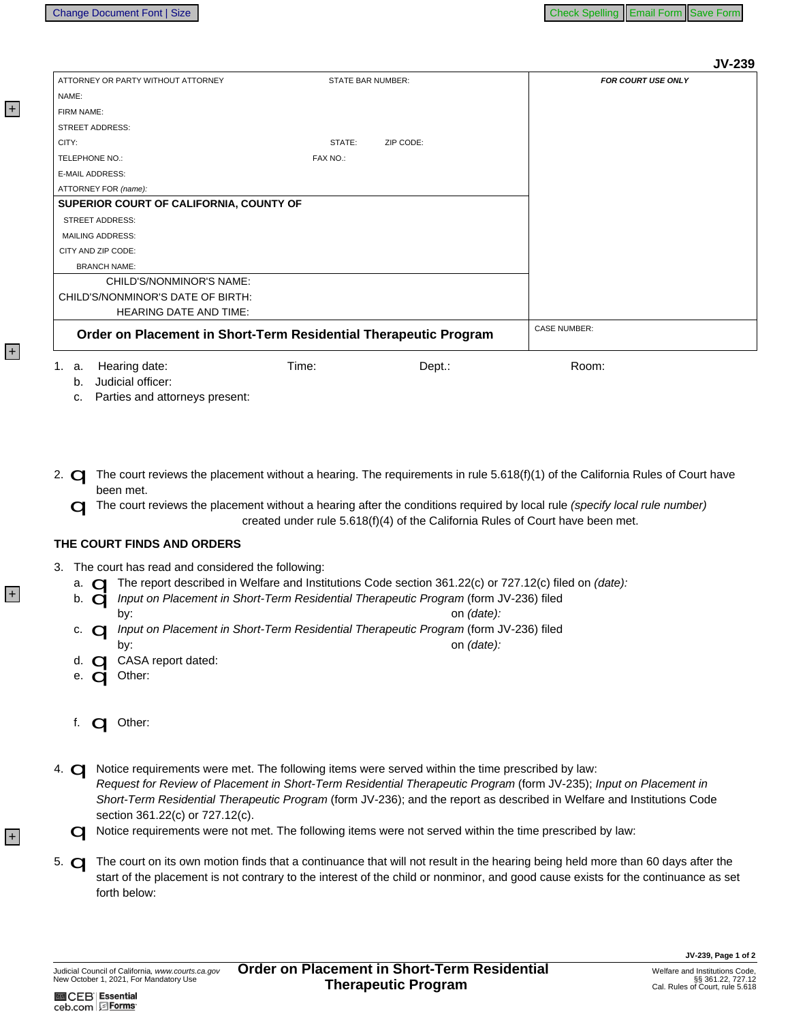**IV-230** 

|                                                                  |                   |           |                           | JV-235 |
|------------------------------------------------------------------|-------------------|-----------|---------------------------|--------|
| ATTORNEY OR PARTY WITHOUT ATTORNEY                               | STATE BAR NUMBER: |           | <b>FOR COURT USE ONLY</b> |        |
| NAME:                                                            |                   |           |                           |        |
| FIRM NAME:                                                       |                   |           |                           |        |
| <b>STREET ADDRESS:</b>                                           |                   |           |                           |        |
| CITY:                                                            | STATE:            | ZIP CODE: |                           |        |
| TELEPHONE NO.:                                                   | FAX NO.:          |           |                           |        |
| <b>E-MAIL ADDRESS:</b>                                           |                   |           |                           |        |
| ATTORNEY FOR (name):                                             |                   |           |                           |        |
| SUPERIOR COURT OF CALIFORNIA, COUNTY OF                          |                   |           |                           |        |
| <b>STREET ADDRESS:</b>                                           |                   |           |                           |        |
| <b>MAILING ADDRESS:</b>                                          |                   |           |                           |        |
| CITY AND ZIP CODE:                                               |                   |           |                           |        |
| <b>BRANCH NAME:</b>                                              |                   |           |                           |        |
| CHILD'S/NONMINOR'S NAME:                                         |                   |           |                           |        |
| CHILD'S/NONMINOR'S DATE OF BIRTH:                                |                   |           |                           |        |
| <b>HEARING DATE AND TIME:</b>                                    |                   |           |                           |        |
| Order on Placement in Short-Term Residential Therapeutic Program |                   |           | <b>CASE NUMBER:</b>       |        |
| Hearing date:<br>1. a.                                           | Time:             | Dept.:    | Room:                     |        |

b. Judicial officer:

c. Parties and attorneys present:

- 2.  $\Box$  The court reviews the placement without a hearing. The requirements in rule 5.618(f)(1) of the California Rules of Court have been met.
	- O The court reviews the placement without a hearing after the conditions required by local rule (specify local rule number) created under rule 5.618(f)(4) of the California Rules of Court have been met.

## THE COURT FINDS AND ORDERS

- - Frout has read and considered<br>
	The report described in We
	- b. **o Input on Placement in Short-Term Residential Therapeutic Program (form JV-236) filed** 
		- on (date):
	- c. **Q** Input on Placement in Short-Term Residential Therapeutic Program (form JV-236) filed bv: on (date):
	- d. C CASA report dated:
	- e. **ci** Other:

bv:

- f. **Q** Other:
- 4. **Q Notice requirements were met.** The following items were served within the time prescribed by law: Request for Review of Placement in Short-Term Residential Therapeutic Program (form JV-235); Input on Placement in Short-Term Residential Therapeutic Program (form JV-236); and the report as described in Welfare and Institutions Code

section 361.22(c) or 727.12(c).<br>
Notice requirements were not met. The following items were not served within the time prescribed by law:

5. The court on its own motion finds that a continuance that will not result in the hearing being held more than 60 days after the start of the placement is not contrary to the interest of the child or nonminor, and good c forth below:

**M** CEB | Essential ceb.com EForms

 $|+|$ 

 $|+|$ 

 $+$ 

 $+$